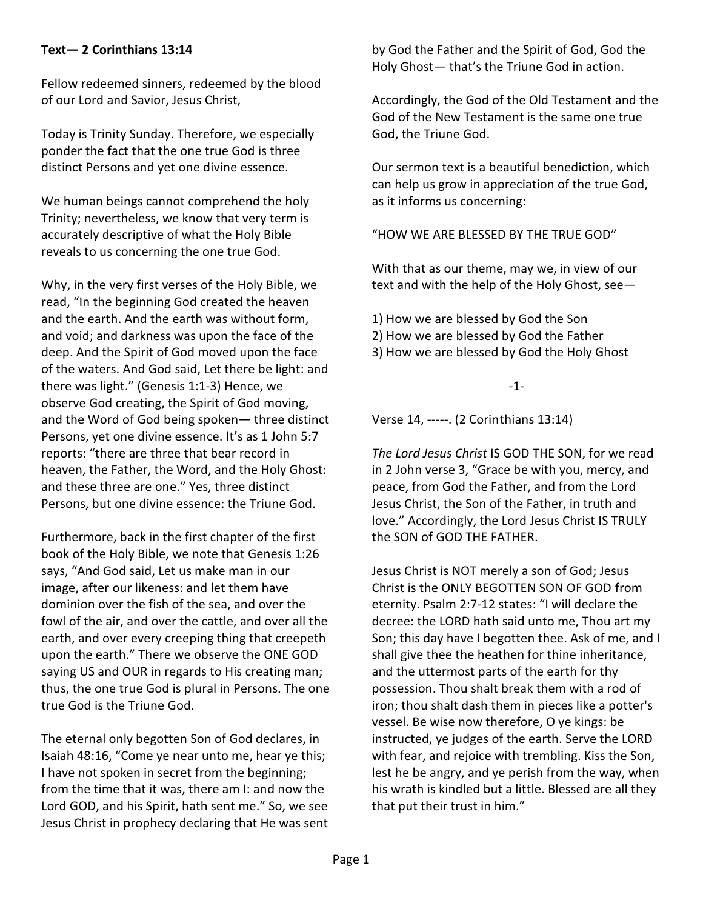## **Text— 2 Corinthians 13:14**

Fellow redeemed sinners, redeemed by the blood of our Lord and Savior, Jesus Christ,

Today is Trinity Sunday. Therefore, we especially ponder the fact that the one true God is three distinct Persons and yet one divine essence.

We human beings cannot comprehend the holy Trinity; nevertheless, we know that very term is accurately descriptive of what the Holy Bible reveals to us concerning the one true God.

Why, in the very first verses of the Holy Bible, we read, "In the beginning God created the heaven and the earth. And the earth was without form, and void; and darkness was upon the face of the deep. And the Spirit of God moved upon the face of the waters. And God said, Let there be light: and there was light." (Genesis 1:1-3) Hence, we observe God creating, the Spirit of God moving, and the Word of God being spoken— three distinct Persons, yet one divine essence. It's as 1 John 5:7 reports: "there are three that bear record in heaven, the Father, the Word, and the Holy Ghost: and these three are one." Yes, three distinct Persons, but one divine essence: the Triune God.

Furthermore, back in the first chapter of the first book of the Holy Bible, we note that Genesis 1:26 says, "And God said, Let us make man in our image, after our likeness: and let them have dominion over the fish of the sea, and over the fowl of the air, and over the cattle, and over all the earth, and over every creeping thing that creepeth upon the earth." There we observe the ONE GOD saying US and OUR in regards to His creating man; thus, the one true God is plural in Persons. The one true God is the Triune God.

The eternal only begotten Son of God declares, in Isaiah 48:16, "Come ye near unto me, hear ye this; I have not spoken in secret from the beginning; from the time that it was, there am I: and now the Lord GOD, and his Spirit, hath sent me." So, we see Jesus Christ in prophecy declaring that He was sent by God the Father and the Spirit of God, God the Holy Ghost— that's the Triune God in action.

Accordingly, the God of the Old Testament and the God of the New Testament is the same one true God, the Triune God.

Our sermon text is a beautiful benediction, which can help us grow in appreciation of the true God, as it informs us concerning:

"HOW WE ARE BLESSED BY THE TRUE GOD"

With that as our theme, may we, in view of our text and with the help of the Holy Ghost, see—

- 1) How we are blessed by God the Son
- 2) How we are blessed by God the Father
- 3) How we are blessed by God the Holy Ghost

-1-

Verse 14, -----. (2 Corinthians 13:14)

*The Lord Jesus Christ* IS GOD THE SON, for we read in 2 John verse 3, "Grace be with you, mercy, and peace, from God the Father, and from the Lord Jesus Christ, the Son of the Father, in truth and love." Accordingly, the Lord Jesus Christ IS TRULY the SON of GOD THE FATHER.

Jesus Christ is NOT merely a son of God; Jesus Christ is the ONLY BEGOTTEN SON OF GOD from eternity. Psalm 2:7-12 states: "I will declare the decree: the LORD hath said unto me, Thou art my Son; this day have I begotten thee. Ask of me, and I shall give thee the heathen for thine inheritance, and the uttermost parts of the earth for thy possession. Thou shalt break them with a rod of iron; thou shalt dash them in pieces like a potter's vessel. Be wise now therefore, O ye kings: be instructed, ye judges of the earth. Serve the LORD with fear, and rejoice with trembling. Kiss the Son, lest he be angry, and ye perish from the way, when his wrath is kindled but a little. Blessed are all they that put their trust in him."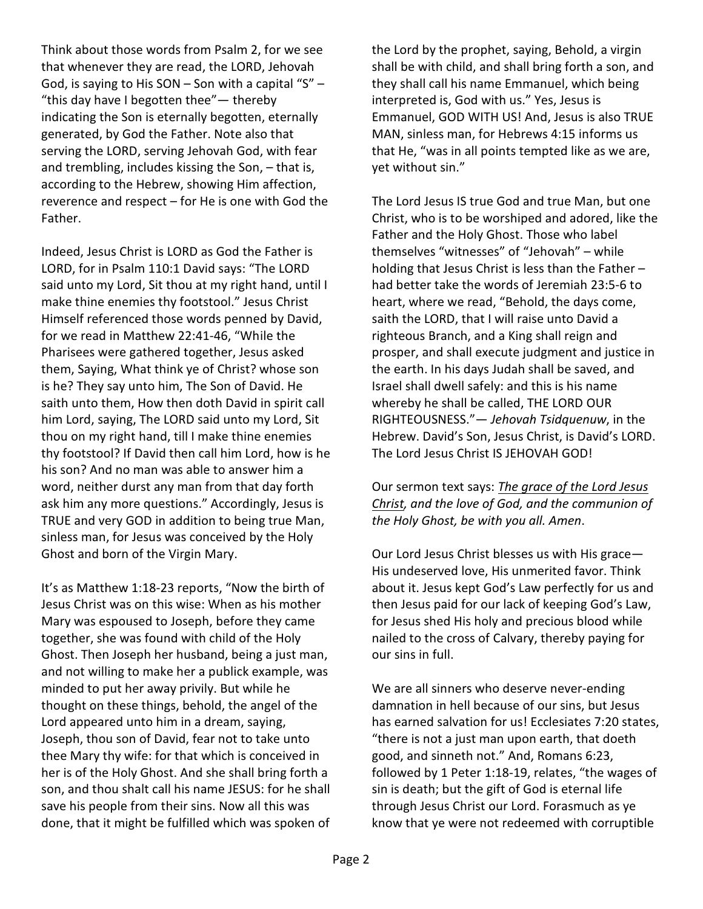Think about those words from Psalm 2, for we see that whenever they are read, the LORD, Jehovah God, is saying to His SON – Son with a capital "S" – "this day have I begotten thee"— thereby indicating the Son is eternally begotten, eternally generated, by God the Father. Note also that serving the LORD, serving Jehovah God, with fear and trembling, includes kissing the Son, – that is, according to the Hebrew, showing Him affection, reverence and respect – for He is one with God the Father.

Indeed, Jesus Christ is LORD as God the Father is LORD, for in Psalm 110:1 David says: "The LORD said unto my Lord, Sit thou at my right hand, until I make thine enemies thy footstool." Jesus Christ Himself referenced those words penned by David, for we read in Matthew 22:41-46, "While the Pharisees were gathered together, Jesus asked them, Saying, What think ye of Christ? whose son is he? They say unto him, The Son of David. He saith unto them, How then doth David in spirit call him Lord, saying, The LORD said unto my Lord, Sit thou on my right hand, till I make thine enemies thy footstool? If David then call him Lord, how is he his son? And no man was able to answer him a word, neither durst any man from that day forth ask him any more questions." Accordingly, Jesus is TRUE and very GOD in addition to being true Man, sinless man, for Jesus was conceived by the Holy Ghost and born of the Virgin Mary.

It's as Matthew 1:18-23 reports, "Now the birth of Jesus Christ was on this wise: When as his mother Mary was espoused to Joseph, before they came together, she was found with child of the Holy Ghost. Then Joseph her husband, being a just man, and not willing to make her a publick example, was minded to put her away privily. But while he thought on these things, behold, the angel of the Lord appeared unto him in a dream, saying, Joseph, thou son of David, fear not to take unto thee Mary thy wife: for that which is conceived in her is of the Holy Ghost. And she shall bring forth a son, and thou shalt call his name JESUS: for he shall save his people from their sins. Now all this was done, that it might be fulfilled which was spoken of the Lord by the prophet, saying, Behold, a virgin shall be with child, and shall bring forth a son, and they shall call his name Emmanuel, which being interpreted is, God with us." Yes, Jesus is Emmanuel, GOD WITH US! And, Jesus is also TRUE MAN, sinless man, for Hebrews 4:15 informs us that He, "was in all points tempted like as we are, yet without sin."

The Lord Jesus IS true God and true Man, but one Christ, who is to be worshiped and adored, like the Father and the Holy Ghost. Those who label themselves "witnesses" of "Jehovah" – while holding that Jesus Christ is less than the Father – had better take the words of Jeremiah 23:5-6 to heart, where we read, "Behold, the days come, saith the LORD, that I will raise unto David a righteous Branch, and a King shall reign and prosper, and shall execute judgment and justice in the earth. In his days Judah shall be saved, and Israel shall dwell safely: and this is his name whereby he shall be called, THE LORD OUR RIGHTEOUSNESS."— *Jehovah Tsidquenuw*, in the Hebrew. David's Son, Jesus Christ, is David's LORD. The Lord Jesus Christ IS JEHOVAH GOD!

## Our sermon text says: *The grace of the Lord Jesus Christ, and the love of God, and the communion of the Holy Ghost, be with you all. Amen*.

Our Lord Jesus Christ blesses us with His grace— His undeserved love, His unmerited favor. Think about it. Jesus kept God's Law perfectly for us and then Jesus paid for our lack of keeping God's Law, for Jesus shed His holy and precious blood while nailed to the cross of Calvary, thereby paying for our sins in full.

We are all sinners who deserve never-ending damnation in hell because of our sins, but Jesus has earned salvation for us! Ecclesiates 7:20 states, "there is not a just man upon earth, that doeth good, and sinneth not." And, Romans 6:23, followed by 1 Peter 1:18-19, relates, "the wages of sin is death; but the gift of God is eternal life through Jesus Christ our Lord. Forasmuch as ye know that ye were not redeemed with corruptible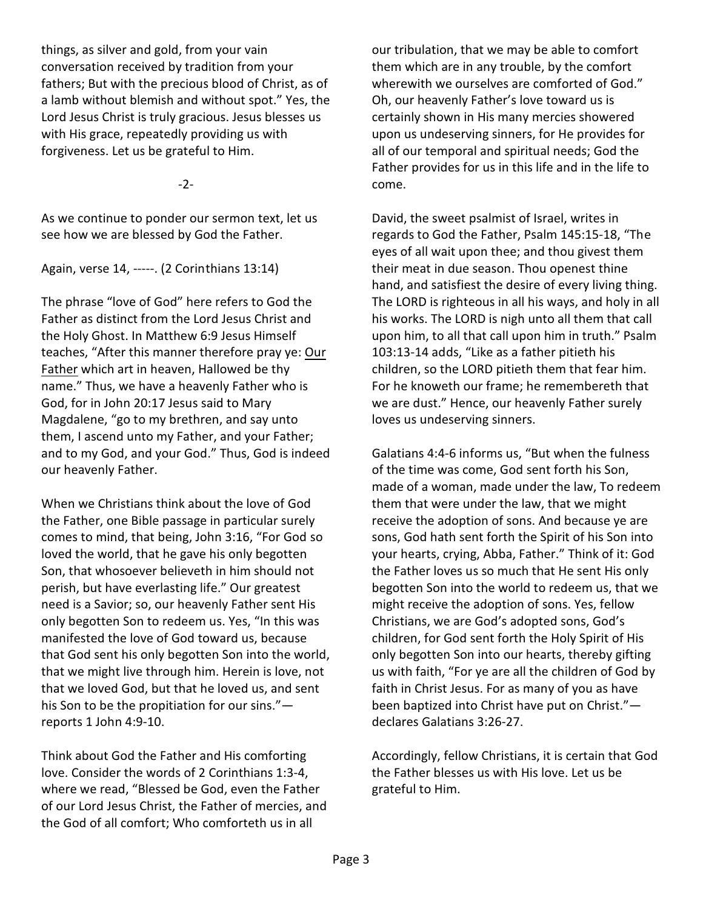things, as silver and gold, from your vain conversation received by tradition from your fathers; But with the precious blood of Christ, as of a lamb without blemish and without spot." Yes, the Lord Jesus Christ is truly gracious. Jesus blesses us with His grace, repeatedly providing us with forgiveness. Let us be grateful to Him.

-2-

As we continue to ponder our sermon text, let us see how we are blessed by God the Father.

Again, verse 14, -----. (2 Corinthians 13:14)

The phrase "love of God" here refers to God the Father as distinct from the Lord Jesus Christ and the Holy Ghost. In Matthew 6:9 Jesus Himself teaches, "After this manner therefore pray ye: Our Father which art in heaven, Hallowed be thy name." Thus, we have a heavenly Father who is God, for in John 20:17 Jesus said to Mary Magdalene, "go to my brethren, and say unto them, I ascend unto my Father, and your Father; and to my God, and your God." Thus, God is indeed our heavenly Father.

When we Christians think about the love of God the Father, one Bible passage in particular surely comes to mind, that being, John 3:16, "For God so loved the world, that he gave his only begotten Son, that whosoever believeth in him should not perish, but have everlasting life." Our greatest need is a Savior; so, our heavenly Father sent His only begotten Son to redeem us. Yes, "In this was manifested the love of God toward us, because that God sent his only begotten Son into the world, that we might live through him. Herein is love, not that we loved God, but that he loved us, and sent his Son to be the propitiation for our sins." reports 1 John 4:9-10.

Think about God the Father and His comforting love. Consider the words of 2 Corinthians 1:3-4, where we read, "Blessed be God, even the Father of our Lord Jesus Christ, the Father of mercies, and the God of all comfort; Who comforteth us in all

our tribulation, that we may be able to comfort them which are in any trouble, by the comfort wherewith we ourselves are comforted of God." Oh, our heavenly Father's love toward us is certainly shown in His many mercies showered upon us undeserving sinners, for He provides for all of our temporal and spiritual needs; God the Father provides for us in this life and in the life to come.

David, the sweet psalmist of Israel, writes in regards to God the Father, Psalm 145:15-18, "The eyes of all wait upon thee; and thou givest them their meat in due season. Thou openest thine hand, and satisfiest the desire of every living thing. The LORD is righteous in all his ways, and holy in all his works. The LORD is nigh unto all them that call upon him, to all that call upon him in truth." Psalm 103:13-14 adds, "Like as a father pitieth his children, so the LORD pitieth them that fear him. For he knoweth our frame; he remembereth that we are dust." Hence, our heavenly Father surely loves us undeserving sinners.

Galatians 4:4-6 informs us, "But when the fulness of the time was come, God sent forth his Son, made of a woman, made under the law, To redeem them that were under the law, that we might receive the adoption of sons. And because ye are sons, God hath sent forth the Spirit of his Son into your hearts, crying, Abba, Father." Think of it: God the Father loves us so much that He sent His only begotten Son into the world to redeem us, that we might receive the adoption of sons. Yes, fellow Christians, we are God's adopted sons, God's children, for God sent forth the Holy Spirit of His only begotten Son into our hearts, thereby gifting us with faith, "For ye are all the children of God by faith in Christ Jesus. For as many of you as have been baptized into Christ have put on Christ." declares Galatians 3:26-27.

Accordingly, fellow Christians, it is certain that God the Father blesses us with His love. Let us be grateful to Him.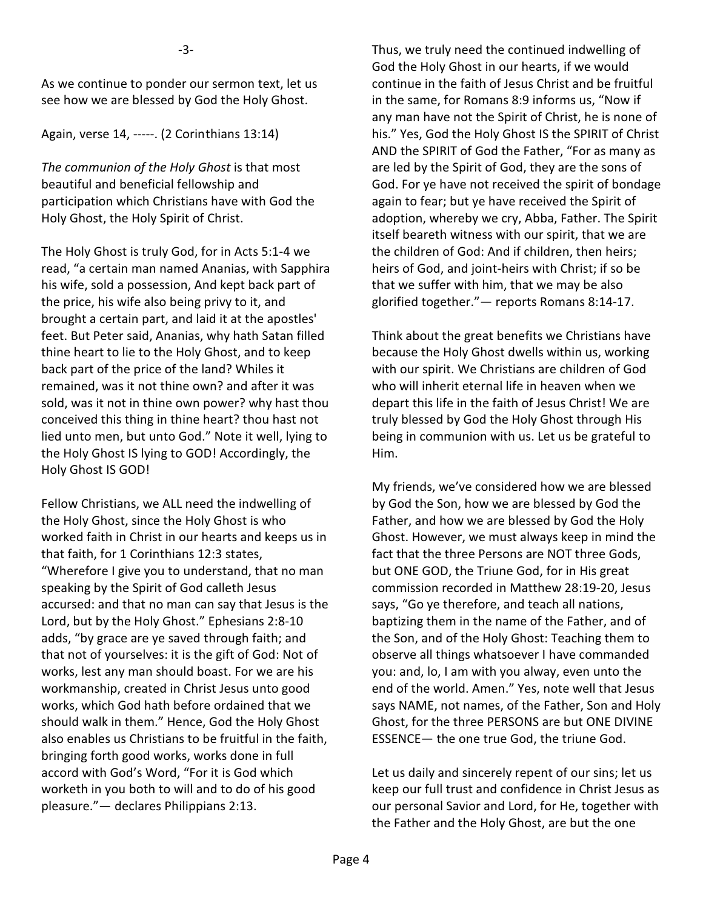As we continue to ponder our sermon text, let us see how we are blessed by God the Holy Ghost.

Again, verse 14, -----. (2 Corinthians 13:14)

*The communion of the Holy Ghost* is that most beautiful and beneficial fellowship and participation which Christians have with God the Holy Ghost, the Holy Spirit of Christ.

The Holy Ghost is truly God, for in Acts 5:1-4 we read, "a certain man named Ananias, with Sapphira his wife, sold a possession, And kept back part of the price, his wife also being privy to it, and brought a certain part, and laid it at the apostles' feet. But Peter said, Ananias, why hath Satan filled thine heart to lie to the Holy Ghost, and to keep back part of the price of the land? Whiles it remained, was it not thine own? and after it was sold, was it not in thine own power? why hast thou conceived this thing in thine heart? thou hast not lied unto men, but unto God." Note it well, lying to the Holy Ghost IS lying to GOD! Accordingly, the Holy Ghost IS GOD!

Fellow Christians, we ALL need the indwelling of the Holy Ghost, since the Holy Ghost is who worked faith in Christ in our hearts and keeps us in that faith, for 1 Corinthians 12:3 states, "Wherefore I give you to understand, that no man speaking by the Spirit of God calleth Jesus accursed: and that no man can say that Jesus is the Lord, but by the Holy Ghost." Ephesians 2:8-10 adds, "by grace are ye saved through faith; and that not of yourselves: it is the gift of God: Not of works, lest any man should boast. For we are his workmanship, created in Christ Jesus unto good works, which God hath before ordained that we should walk in them." Hence, God the Holy Ghost also enables us Christians to be fruitful in the faith, bringing forth good works, works done in full accord with God's Word, "For it is God which worketh in you both to will and to do of his good pleasure."— declares Philippians 2:13.

Thus, we truly need the continued indwelling of God the Holy Ghost in our hearts, if we would continue in the faith of Jesus Christ and be fruitful in the same, for Romans 8:9 informs us, "Now if any man have not the Spirit of Christ, he is none of his." Yes, God the Holy Ghost IS the SPIRIT of Christ AND the SPIRIT of God the Father, "For as many as are led by the Spirit of God, they are the sons of God. For ye have not received the spirit of bondage again to fear; but ye have received the Spirit of adoption, whereby we cry, Abba, Father. The Spirit itself beareth witness with our spirit, that we are the children of God: And if children, then heirs; heirs of God, and joint-heirs with Christ; if so be that we suffer with him, that we may be also glorified together."— reports Romans 8:14-17.

Think about the great benefits we Christians have because the Holy Ghost dwells within us, working with our spirit. We Christians are children of God who will inherit eternal life in heaven when we depart this life in the faith of Jesus Christ! We are truly blessed by God the Holy Ghost through His being in communion with us. Let us be grateful to Him.

My friends, we've considered how we are blessed by God the Son, how we are blessed by God the Father, and how we are blessed by God the Holy Ghost. However, we must always keep in mind the fact that the three Persons are NOT three Gods, but ONE GOD, the Triune God, for in His great commission recorded in Matthew 28:19-20, Jesus says, "Go ye therefore, and teach all nations, baptizing them in the name of the Father, and of the Son, and of the Holy Ghost: Teaching them to observe all things whatsoever I have commanded you: and, lo, I am with you alway, even unto the end of the world. Amen." Yes, note well that Jesus says NAME, not names, of the Father, Son and Holy Ghost, for the three PERSONS are but ONE DIVINE ESSENCE— the one true God, the triune God.

Let us daily and sincerely repent of our sins; let us keep our full trust and confidence in Christ Jesus as our personal Savior and Lord, for He, together with the Father and the Holy Ghost, are but the one